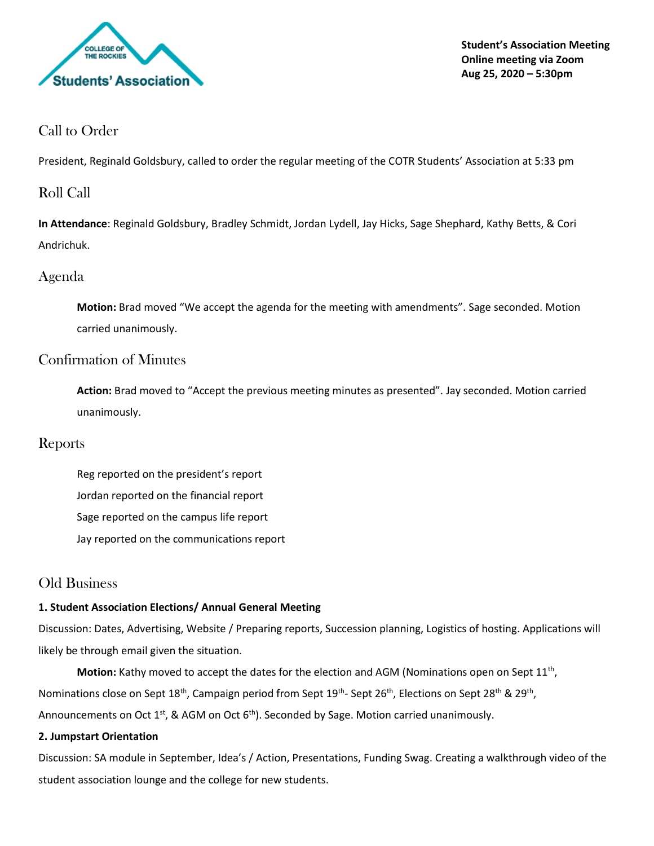

**Student's Association Meeting Online meeting via Zoom Aug 25, 2020 – 5:30pm**

# Call to Order

President, Reginald Goldsbury, called to order the regular meeting of the COTR Students' Association at 5:33 pm

# Roll Call

**In Attendance**: Reginald Goldsbury, Bradley Schmidt, Jordan Lydell, Jay Hicks, Sage Shephard, Kathy Betts, & Cori Andrichuk.

# Agenda

**Motion:** Brad moved "We accept the agenda for the meeting with amendments". Sage seconded. Motion carried unanimously.

# Confirmation of Minutes

**Action:** Brad moved to "Accept the previous meeting minutes as presented". Jay seconded. Motion carried unanimously.

## Reports

Reg reported on the president's report Jordan reported on the financial report Sage reported on the campus life report Jay reported on the communications report

# Old Business

### **1. Student Association Elections/ Annual General Meeting**

Discussion: Dates, Advertising, Website / Preparing reports, Succession planning, Logistics of hosting. Applications will likely be through email given the situation.

Motion: Kathy moved to accept the dates for the election and AGM (Nominations open on Sept 11<sup>th</sup>, Nominations close on Sept 18<sup>th</sup>, Campaign period from Sept 19<sup>th</sup>- Sept 26<sup>th</sup>, Elections on Sept 28<sup>th</sup> & 29<sup>th</sup>, Announcements on Oct  $1^{st}$ , & AGM on Oct  $6^{th}$ ). Seconded by Sage. Motion carried unanimously.

### **2. Jumpstart Orientation**

Discussion: SA module in September, Idea's / Action, Presentations, Funding Swag. Creating a walkthrough video of the student association lounge and the college for new students.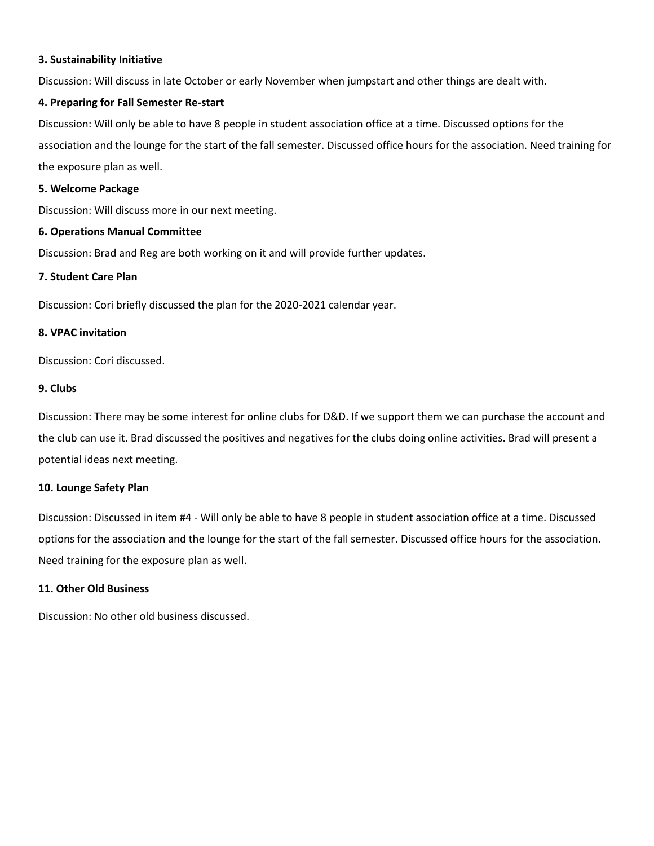#### **3. Sustainability Initiative**

Discussion: Will discuss in late October or early November when jumpstart and other things are dealt with.

#### **4. Preparing for Fall Semester Re-start**

Discussion: Will only be able to have 8 people in student association office at a time. Discussed options for the association and the lounge for the start of the fall semester. Discussed office hours for the association. Need training for the exposure plan as well.

#### **5. Welcome Package**

Discussion: Will discuss more in our next meeting.

#### **6. Operations Manual Committee**

Discussion: Brad and Reg are both working on it and will provide further updates.

#### **7. Student Care Plan**

Discussion: Cori briefly discussed the plan for the 2020-2021 calendar year.

#### **8. VPAC invitation**

Discussion: Cori discussed.

#### **9. Clubs**

Discussion: There may be some interest for online clubs for D&D. If we support them we can purchase the account and the club can use it. Brad discussed the positives and negatives for the clubs doing online activities. Brad will present a potential ideas next meeting.

#### **10. Lounge Safety Plan**

Discussion: Discussed in item #4 - Will only be able to have 8 people in student association office at a time. Discussed options for the association and the lounge for the start of the fall semester. Discussed office hours for the association. Need training for the exposure plan as well.

#### **11. Other Old Business**

Discussion: No other old business discussed.